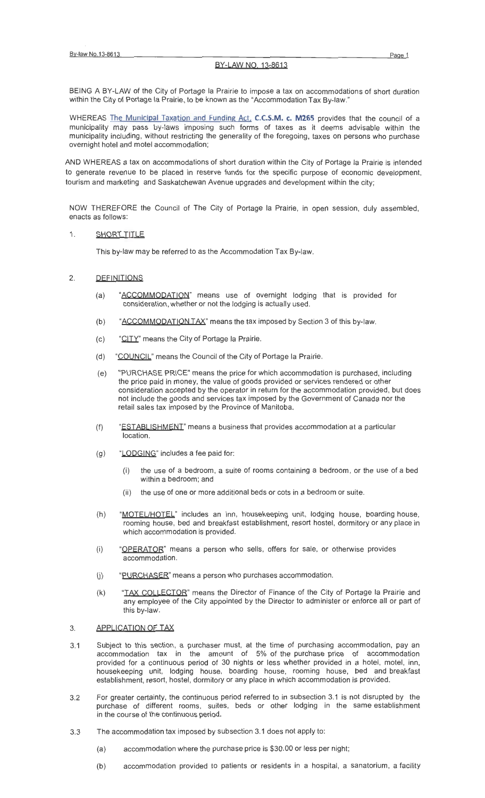# BY-LAW NO. 13-8613

BEING A BY-LAW of the City of Portage Ia Prairie to impose a tax on accommodations of short duration within the City of Portage Ia Prairie, to be known as the "Accommodation Tax By-law."

WHEREAS The Municipal Taxation and Funding Act, **C.C.S.M. c. M265** provides that the council of a municipality may pass by-laws imposing such forms of taxes as it deems advisable within the municipality including, without restricting the generality of the foregoing , taxes on persons who purchase overnight hotel and motel accommodation;

AND WHEREAS a tax on accommodations of short duration within the City of Portage Ia Prairie is intended to generate revenue to be placed in reserve funds for the specific purpose of economic development, tourism and marketing and Saskatchewan Avenue upgrades and development within the city;

NOW THEREFORE the Council of The City of Portage Ia Prairie, in open session, duly assembled, enacts as follows:

# 1. SHORT TITLE

This by-law may be referred to as the Accommodation Tax By-law.

# 2. DEFINITIONS

- (a) "ACCOMMODATION" means use of overnight lodging that is provided for consideration, whether or not the lodging is actually used.
- (b) " $ACCOMMODATION TAX"$  means the tax imposed by Section 3 of this by-law.
- (c) "CITY" means the City of Portage la Prairie.
- (d) "COUNCIL" means the Council of the City of Portage Ia Prairie.
- (e) "PURCHASE PRICE" means the price for which accommodation is purchased, including the price paid in money, the value of goods provided or services rendered or other consideration accepted by the operator in return for the accommodation provided, but does not include the goods and services tax imposed by the Government of Canada nor the retail sales tax imposed by the Province of Manitoba.
- (f) "ESTABLISHMENT' means a business that provides accommodation at a particular location.
- (g) "LODGING" includes a fee paid for:
	- (i) the use of a bedroom, a suite of rooms containing a bedroom , or the use of a bed within a bedroom; and
	- (ii) the use of one or more additional beds or cots in a bedroom or suite.
- (h) "MOTEL/HOTEL" includes an inn, housekeeping unit, lodging house, boarding house, rooming house, bed and breakfast establishment, resort hostel, dormitory or any place in which accommodation is provided.
- (i) "OPERATOR" means a person who sells, offers for sale, or otherwise provides accommodation.
- (j) "PURCHASER" means a person who purchases accommodation.
- (k) "TAX COLLECTOR" means the Director of Finance of the City of Portage Ia Prairie and any employee of the City appointed by the Director to administer or enforce all or part of this by-law.

#### 3. APPLICATION OF TAX

- 3.1 Subject to this section, a purchaser must, at the time of purchasing accommodation, pay an accommodation tax in the amount of 5% of the purchase price of accommodation provided for a continuous period of 30 nights or less whether provided in a hotel, motel, inn, housekeeping unit, lodging house, boarding house, rooming house, bed and breakfast establishment, resort, hostel, dormitory or any place in which accommodation is provided.
- 3.2 For greater certainty, the continuous period referred to in subsection 3.1 is not disrupted by the purchase of different rooms, suites, beds or other lodging in the same establishment in the course of the continuous period.
- 3.3 The accommodation tax imposed by subsection 3.1 does not apply to:
	- (a) accommodation where the purchase price is \$30.00 or less per night;
	- (b) accommodation provided to patients or residents in a hospital, a sanatorium, a facility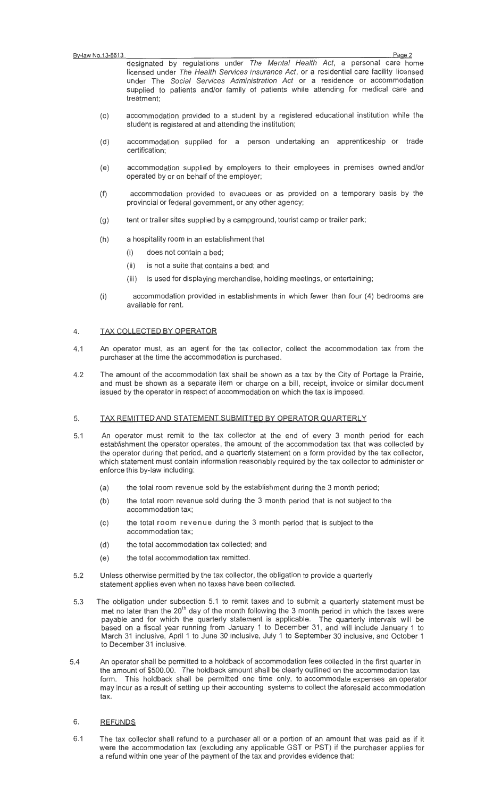designated by regulations under The Mental Health Act, a personal care home licensed under The Health Services Insurance Act, or a residential care facility licensed under The Social Services Administration Act or a residence or accommodation supplied to patients and/or family of patients while attending for medical care and treatment;

- (c) accommodation provided to a student by a registered educational institution while the student is registered at and attending the institution;
- (d) accommodation supplied for a person undertaking an apprenticeship or trade certification;
- (e) accommodation supplied by employers to their employees in premises owned and/or operated by or on behalf of the employer;
- (f) accommodation provided to evacuees or as provided on a temporary basis by the provincial or federal government, or any other agency;
- (g) tent or trailer sites supplied by a campground, tourist camp or trailer park;
- (h) a hospitality room in an establishment that
	- (i) does not contain a bed;
	- (ii) is not a suite that contains a bed; and
	- (iii) is used for displaying merchandise, holding meetings, or entertaining;
- (i) accommodation provided in establishments in which fewer than four (4) bedrooms are available for rent.

# 4. TAX COLLECTED BY OPERATOR

- 4.1 An operator must, as an agent for the tax collector, collect the accommodation tax from the purchaser at the time the accommodation is purchased.
- 4.2 The amount of the accommodation tax shall be shown as a tax by the City of Portage Ia Prairie, and must be shown as a separate item or charge on a bill, receipt, invoice or similar document issued by the operator in respect of accommodation on which the tax is imposed.

# 5. TAX REMITTED AND STATEMENT SUBMITTED BY OPERATOR QUARTERLY

- 5.1 An operator must remit to the tax collector at the end of every 3 month period for each establishment the operator operates, the amount of the accommodation tax that was collected by the operator during that period, and a quarterly statement on a form provided by the tax collector, which statement must contain information reasonably required by the tax collector to administer or enforce this by-law including:
	- (a) the total room revenue sold by the establishment during the 3 month period;
	- (b) the total room revenue sold during the 3 month period that is not subject to the accommodation tax;
	- (c) the total room revenue during the 3 month period that is subject to the accommodation tax;
	- (d) the total accommodation tax collected; and
	- (e) the total accommodation tax remitted.
- 5.2 Unless otherwise permitted by the tax collector, the obligation to provide a quarterly statement applies even when no taxes have been collected.
- 5.3 The obligation under subsection 5.1 to remit taxes and to submit a quarterly statement must be met no later than the  $20<sup>th</sup>$  day of the month following the 3 month period in which the taxes were payable and for which the quarterly statement is applicable. The quarterly intervals will be based on a fiscal year running from January 1 to December 31 , and will include January 1 to March 31 inclusive, April 1 to June 30 inclusive, July 1 to September 30 inclusive, and October 1 to December 31 inclusive.
- 5.4 An operator shall be permitted to a holdback of accommodation fees collected in the first quarter in the amount of \$500.00. The holdback amount shall be clearly outlined on the accommodation tax form. This holdback shall be permitted one time only, to accommodate expenses an operator may incur as a result of setting up their accounting systems to collect the aforesaid accommodation tax.

# 6. REFUNDS

6.1 The tax collector shall refund to a purchaser all or a portion of an amount that was paid as if it were the accommodation tax (excluding any applicable GST or PST) if the purchaser applies for a refund within one year of the payment of the tax and provides evidence that: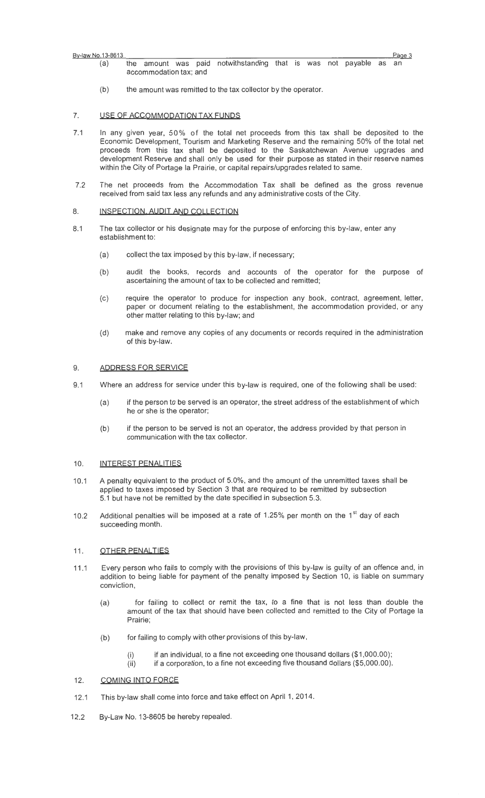| By-law No.13-8613 |
|-------------------|
|                   |

<u>By-law No.13-8613 Page 3 المواد المسيحية المسيحية المسيحية المسيحية المسيحية المواد المواد المواد المواد المواد ا</u> (a) the amount was paid notwithstanding that is was not payable as an accommodation tax; and

(b) the amount was remitted to the tax collector by the operator.

#### 7. USE OF ACCOMMODATION TAX FUNDS

- 7.1 In any given year, 50% of the total net proceeds from this tax shall be deposited to the Economic Development, Tourism and Marketing Reserve and the remaining 50% of the total net proceeds from this tax shall be deposited to the Saskatchewan Avenue upgrades and development Reserve and shall only be used for their purpose as stated in their reserve names within the City of Portage Ia Prairie, or capital repairs/upgrades related to same.
- 7.2 The net proceeds from the Accommodation Tax shall be defined as the gross revenue received from said tax less any refunds and any administrative costs of the City.

#### 8. INSPECTION, AUDIT AND COLLECTION

- 8.1 The tax collector or his designate may for the purpose of enforcing this by-law, enter any establishment to:
	- (a) collect the tax imposed by this by-law, if necessary;
	- (b) audit the books, records and accounts of the operator for the purpose of ascertaining the amount of tax to be collected and remitted;
	- (c) require the operator to produce for inspection any book, contract, agreement, letter, paper or document relating to the establishment, the accommodation provided, or any other matter relating to this by-law; and
	- (d) make and remove any copies of any documents or records required in the administration of this by-law.

#### 9. ADDRESS FOR SERVICE

- 9.1 Where an address for service under this by-law is required, one of the following shall be used:
	- (a) if the person to be served is an operator, the street address of the establishment of which he or she is the operator;
	- (b) if the person to be served is not an operator, the address provided by that person in communication with the tax collector.

# 10. INTEREST PENALITIES

- 10.1 A penalty equivalent to the product of 5.0%, and the amount of the unremitted taxes shall be applied to taxes imposed by Section 3 that are required to be remitted by subsection 5.1 but have not be remitted by the date specified in subsection 5.3.
- 10.2 Additional penalties will be imposed at a rate of 1.25% per month on the  $1<sup>st</sup>$  day of each succeeding month.

#### 11. OTHER PENALTIES

- 11.1 Every person who fails to comply with the provisions of this by-law is guilty of an offence and, in addition to being liable for payment of the penalty imposed by Section 10, is liable on summary conviction,
	- (a) for failing to collect or remit the tax, to a fine that is not less than double the amount of the tax that should have been collected and remitted to the City of Portage Ia Prairie;
	- (b) for failing to comply with other provisions of this by-law,
		- (i) if an individual, to a fine not exceeding one thousand dollars  $($1,000.00)$ ;
		- $(iii)$  if a corporation, to a fine not exceeding five thousand dollars (\$5,000.00).

#### 12. COMING INTO FORCE

- 12.1 This by-law shall come into force and take effect on April 1, 2014.
- 12.2 By-Law No. 13-8605 be hereby repealed.